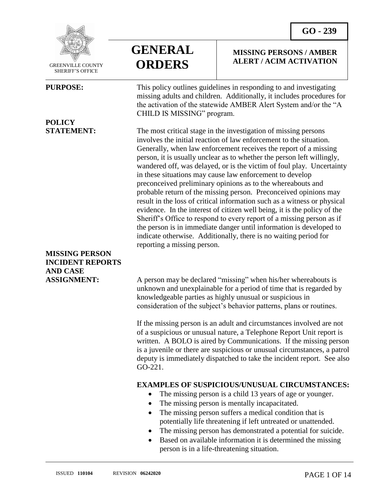**MISSING PERSONS / AMBER ALERT / ACIM ACTIVATION**



 GREENVILLE COUNTY SHERIFF'S OFFICE

 $\overline{a}$ 

# **POLICY**

### **MISSING PERSON INCIDENT REPORTS AND CASE**



**PURPOSE:** This policy outlines guidelines in responding to and investigating missing adults and children. Additionally, it includes procedures for the activation of the statewide AMBER Alert System and/or the "A CHILD IS MISSING" program.

**STATEMENT:** The most critical stage in the investigation of missing persons involves the initial reaction of law enforcement to the situation. Generally, when law enforcement receives the report of a missing person, it is usually unclear as to whether the person left willingly, wandered off, was delayed, or is the victim of foul play. Uncertainty in these situations may cause law enforcement to develop preconceived preliminary opinions as to the whereabouts and probable return of the missing person. Preconceived opinions may result in the loss of critical information such as a witness or physical evidence. In the interest of citizen well being, it is the policy of the Sheriff's Office to respond to every report of a missing person as if the person is in immediate danger until information is developed to indicate otherwise. Additionally, there is no waiting period for reporting a missing person.

**ASSIGNMENT:** A person may be declared "missing" when his/her whereabouts is unknown and unexplainable for a period of time that is regarded by knowledgeable parties as highly unusual or suspicious in consideration of the subject's behavior patterns, plans or routines.

> If the missing person is an adult and circumstances involved are not of a suspicious or unusual nature, a Telephone Report Unit report is written. A BOLO is aired by Communications. If the missing person is a juvenile or there are suspicious or unusual circumstances, a patrol deputy is immediately dispatched to take the incident report. See also GO-221.

#### **EXAMPLES OF SUSPICIOUS/UNUSUAL CIRCUMSTANCES:**

- The missing person is a child 13 years of age or younger.
- The missing person is mentally incapacitated.
- The missing person suffers a medical condition that is potentially life threatening if left untreated or unattended.
- The missing person has demonstrated a potential for suicide.
- Based on available information it is determined the missing person is in a life-threatening situation.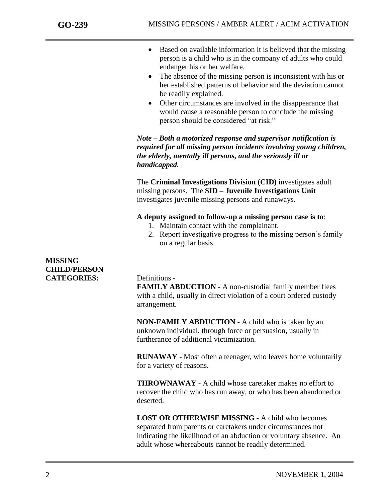- Based on available information it is believed that the missing person is a child who is in the company of adults who could endanger his or her welfare.
- The absence of the missing person is inconsistent with his or her established patterns of behavior and the deviation cannot be readily explained.
- Other circumstances are involved in the disappearance that would cause a reasonable person to conclude the missing person should be considered "at risk."

*Note – Both a motorized response and supervisor notification is required for all missing person incidents involving young children, the elderly, mentally ill persons, and the seriously ill or handicapped.* 

The **Criminal Investigations Division (CID)** investigates adult missing persons. The **SID – Juvenile Investigations Unit** investigates juvenile missing persons and runaways.

**A deputy assigned to follow-up a missing person case is to**:

- 1. Maintain contact with the complainant.
- 2. Report investigative progress to the missing person's family on a regular basis.

#### **MISSING CHILD/PERSON CATEGORIES:** Definitions -

**FAMILY ABDUCTION -** A non-custodial family member flees with a child, usually in direct violation of a court ordered custody arrangement.

**NON-FAMILY ABDUCTION -** A child who is taken by an unknown individual, through force or persuasion, usually in furtherance of additional victimization.

**RUNAWAY -** Most often a teenager, who leaves home voluntarily for a variety of reasons.

**THROWNAWAY -** A child whose caretaker makes no effort to recover the child who has run away, or who has been abandoned or deserted.

**LOST OR OTHERWISE MISSING -** A child who becomes separated from parents or caretakers under circumstances not indicating the likelihood of an abduction or voluntary absence. An adult whose whereabouts cannot be readily determined.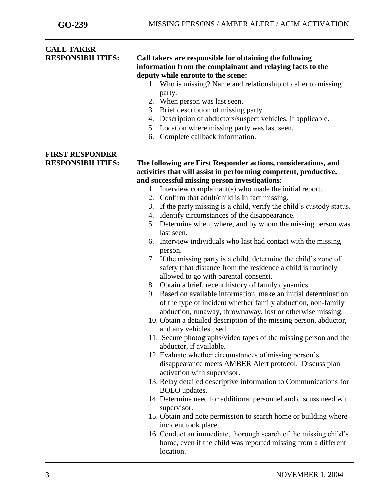#### **CALL TAKER RESPONSIBILITIES: Call takers are responsible for obtaining the following information from the complainant and relaying facts to the deputy while enroute to the scene:**

- 1. Who is missing? Name and relationship of caller to missing party.
- 2. When person was last seen.
- 3. Brief description of missing party.
- 4. Description of abductors/suspect vehicles, if applicable.
- 5. Location where missing party was last seen.
- 6. Complete callback information.

# **FIRST RESPONDER**

#### **RESPONSIBILITIES: The following are First Responder actions, considerations, and activities that will assist in performing competent, productive, and successful missing person investigations:**

- 1. Interview complainant(s) who made the initial report.
- 2. Confirm that adult/child is in fact missing.
- 3. If the party missing is a child, verify the child's custody status.
- 4. Identify circumstances of the disappearance.
- 5. Determine when, where, and by whom the missing person was last seen.
- 6. Interview individuals who last had contact with the missing person.
- 7. If the missing party is a child, determine the child's zone of safety (that distance from the residence a child is routinely allowed to go with parental consent).
- 8. Obtain a brief, recent history of family dynamics.
- 9. Based on available information, make an initial determination of the type of incident whether family abduction, non-family abduction, runaway, thrownaway, lost or otherwise missing.
- 10. Obtain a detailed description of the missing person, abductor, and any vehicles used.
- 11. Secure photographs/video tapes of the missing person and the abductor, if available.
- 12. Evaluate whether circumstances of missing person's disappearance meets AMBER Alert protocol. Discuss plan activation with supervisor.
- 13. Relay detailed descriptive information to Communications for BOLO updates.
- 14. Determine need for additional personnel and discuss need with supervisor.
- 15. Obtain and note permission to search home or building where incident took place.
- 16. Conduct an immediate, thorough search of the missing child's home, even if the child was reported missing from a different location.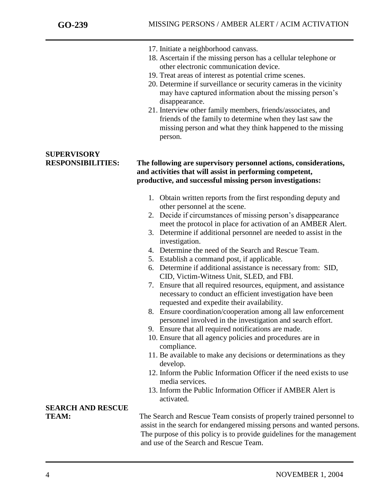- 17. Initiate a neighborhood canvass.
- 18. Ascertain if the missing person has a cellular telephone or other electronic communication device.
- 19. Treat areas of interest as potential crime scenes.
- 20. Determine if surveillance or security cameras in the vicinity may have captured information about the missing person's disappearance.
- 21. Interview other family members, friends/associates, and friends of the family to determine when they last saw the missing person and what they think happened to the missing person.

# **SUPERVISORY**

#### **RESPONSIBILITIES: The following are supervisory personnel actions, considerations, and activities that will assist in performing competent, productive, and successful missing person investigations:**

- 1. Obtain written reports from the first responding deputy and other personnel at the scene.
- 2. Decide if circumstances of missing person's disappearance meet the protocol in place for activation of an AMBER Alert.
- 3. Determine if additional personnel are needed to assist in the investigation.
- 4. Determine the need of the Search and Rescue Team.
- 5. Establish a command post, if applicable.
- 6. Determine if additional assistance is necessary from: SID, CID, Victim-Witness Unit, SLED, and FBI.
- 7. Ensure that all required resources, equipment, and assistance necessary to conduct an efficient investigation have been requested and expedite their availability.
- 8. Ensure coordination/cooperation among all law enforcement personnel involved in the investigation and search effort.
- 9. Ensure that all required notifications are made.
- 10. Ensure that all agency policies and procedures are in compliance.
- 11. Be available to make any decisions or determinations as they develop.
- 12. Inform the Public Information Officer if the need exists to use media services.
- 13. Inform the Public Information Officer if AMBER Alert is activated.

# **SEARCH AND RESCUE**

**TEAM:** The Search and Rescue Team consists of properly trained personnel to assist in the search for endangered missing persons and wanted persons. The purpose of this policy is to provide guidelines for the management and use of the Search and Rescue Team.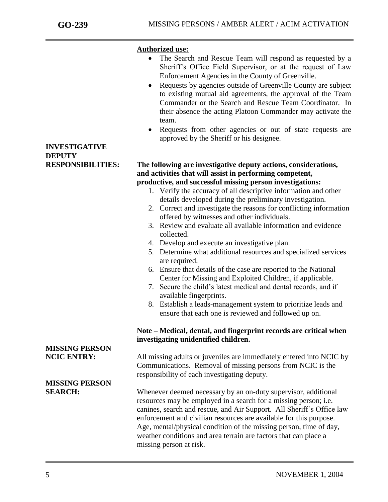**INVESTIGATIVE** 

**DEPUTY**

j

#### **Authorized use:**

- The Search and Rescue Team will respond as requested by a Sheriff's Office Field Supervisor, or at the request of Law Enforcement Agencies in the County of Greenville.
- Requests by agencies outside of Greenville County are subject to existing mutual aid agreements, the approval of the Team Commander or the Search and Rescue Team Coordinator. In their absence the acting Platoon Commander may activate the team.
- Requests from other agencies or out of state requests are approved by the Sheriff or his designee.

#### **RESPONSIBILITIES: The following are investigative deputy actions, considerations, and activities that will assist in performing competent, productive, and successful missing person investigations:**

- 1. Verify the accuracy of all descriptive information and other details developed during the preliminary investigation.
- 2. Correct and investigate the reasons for conflicting information offered by witnesses and other individuals.
- 3. Review and evaluate all available information and evidence collected.
- 4. Develop and execute an investigative plan.
- 5. Determine what additional resources and specialized services are required.
- 6. Ensure that details of the case are reported to the National Center for Missing and Exploited Children, if applicable.
- 7. Secure the child's latest medical and dental records, and if available fingerprints.
- 8. Establish a leads-management system to prioritize leads and ensure that each one is reviewed and followed up on.

#### **Note – Medical, dental, and fingerprint records are critical when investigating unidentified children.**

**NCIC ENTRY:** All missing adults or juveniles are immediately entered into NCIC by Communications. Removal of missing persons from NCIC is the responsibility of each investigating deputy.

**SEARCH:** Whenever deemed necessary by an on-duty supervisor, additional resources may be employed in a search for a missing person; i.e. canines, search and rescue, and Air Support. All Sheriff's Office law enforcement and civilian resources are available for this purpose. Age, mental/physical condition of the missing person, time of day, weather conditions and area terrain are factors that can place a missing person at risk.

# **MISSING PERSON**

# **MISSING PERSON**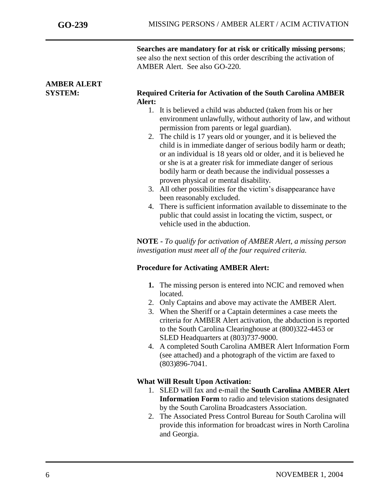**Searches are mandatory for at risk or critically missing persons**; see also the next section of this order describing the activation of AMBER Alert. See also GO-220.

### **AMBER ALERT SYSTEM: Required Criteria for Activation of the South Carolina AMBER Alert:** 1. It is believed a child was abducted (taken from his or her

- environment unlawfully, without authority of law, and without permission from parents or legal guardian). 2. The child is 17 years old or younger, and it is believed the
- child is in immediate danger of serious bodily harm or death; or an individual is 18 years old or older, and it is believed he or she is at a greater risk for immediate danger of serious bodily harm or death because the individual possesses a proven physical or mental disability.
- 3. All other possibilities for the victim's disappearance have been reasonably excluded.
- 4. There is sufficient information available to disseminate to the public that could assist in locating the victim, suspect, or vehicle used in the abduction.

**NOTE -** *To qualify for activation of AMBER Alert, a missing person investigation must meet all of the four required criteria.* 

### **Procedure for Activating AMBER Alert:**

- **1.** The missing person is entered into NCIC and removed when located.
- 2. Only Captains and above may activate the AMBER Alert.
- 3. When the Sheriff or a Captain determines a case meets the criteria for AMBER Alert activation, the abduction is reported to the South Carolina Clearinghouse at (800)322-4453 or SLED Headquarters at (803)737-9000.
- 4. A completed South Carolina AMBER Alert Information Form (see attached) and a photograph of the victim are faxed to (803)896-7041.

### **What Will Result Upon Activation:**

- 1. SLED will fax and e-mail the **South Carolina AMBER Alert Information Form** to radio and television stations designated by the South Carolina Broadcasters Association.
- 2. The Associated Press Control Bureau for South Carolina will provide this information for broadcast wires in North Carolina and Georgia.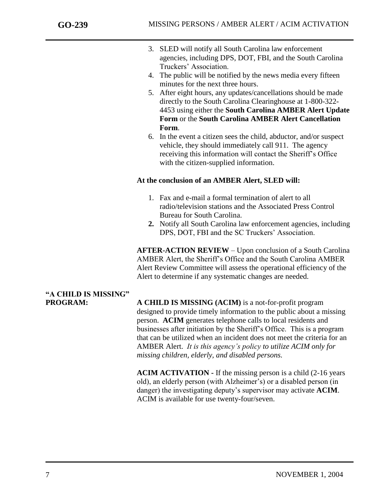- 3. SLED will notify all South Carolina law enforcement agencies, including DPS, DOT, FBI, and the South Carolina Truckers' Association.
- 4. The public will be notified by the news media every fifteen minutes for the next three hours.
- 5. After eight hours, any updates/cancellations should be made directly to the South Carolina Clearinghouse at 1-800-322- 4453 using either the **South Carolina AMBER Alert Update Form** or the **South Carolina AMBER Alert Cancellation Form**.
- 6. In the event a citizen sees the child, abductor, and/or suspect vehicle, they should immediately call 911. The agency receiving this information will contact the Sheriff's Office with the citizen-supplied information.

#### **At the conclusion of an AMBER Alert, SLED will:**

- 1. Fax and e-mail a formal termination of alert to all radio/television stations and the Associated Press Control Bureau for South Carolina.
- **2.** Notify all South Carolina law enforcement agencies, including DPS, DOT, FBI and the SC Truckers' Association.

**AFTER-ACTION REVIEW** – Upon conclusion of a South Carolina AMBER Alert, the Sheriff's Office and the South Carolina AMBER Alert Review Committee will assess the operational efficiency of the Alert to determine if any systematic changes are needed.

# **"A CHILD IS MISSING"**

**PROGRAM: A CHILD IS MISSING (ACIM)** is a not-for-profit program designed to provide timely information to the public about a missing person. **ACIM** generates telephone calls to local residents and businesses after initiation by the Sheriff's Office. This is a program that can be utilized when an incident does not meet the criteria for an AMBER Alert. *It is this agency's policy to utilize ACIM only for missing children, elderly, and disabled persons.*

> **ACIM ACTIVATION -** If the missing person is a child (2-16 years old), an elderly person (with Alzheimer's) or a disabled person (in danger) the investigating deputy's supervisor may activate **ACIM**. ACIM is available for use twenty-four/seven.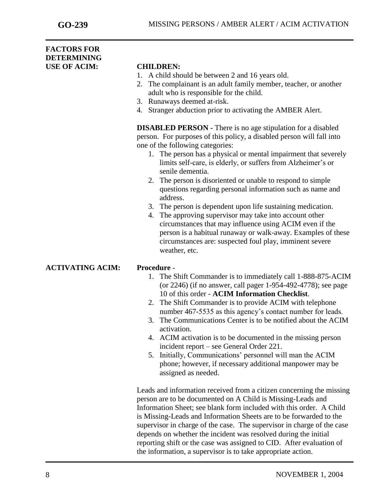#### **FACTORS FOR DETERMINING USE OF ACIM: CHILDREN:**

- 1. A child should be between 2 and 16 years old.
- 2. The complainant is an adult family member, teacher, or another adult who is responsible for the child.
- 3. Runaways deemed at-risk.
- 4. Stranger abduction prior to activating the AMBER Alert.

**DISABLED PERSON -** There is no age stipulation for a disabled person. For purposes of this policy, a disabled person will fall into one of the following categories:

- 1. The person has a physical or mental impairment that severely limits self-care, is elderly, or suffers from Alzheimer's or senile dementia.
- 2. The person is disoriented or unable to respond to simple questions regarding personal information such as name and address.
- 3. The person is dependent upon life sustaining medication.
- 4. The approving supervisor may take into account other circumstances that may influence using ACIM even if the person is a habitual runaway or walk-away. Examples of these circumstances are: suspected foul play, imminent severe weather, etc.

#### **ACTIVATING ACIM: Procedure -**

- 1. The Shift Commander is to immediately call 1-888-875-ACIM (or 2246) (if no answer, call pager 1-954-492-4778); see page 10 of this order - **ACIM Information Checklist**.
- 2. The Shift Commander is to provide ACIM with telephone number 467-5535 as this agency's contact number for leads.
- 3. The Communications Center is to be notified about the ACIM activation.
- 4. ACIM activation is to be documented in the missing person incident report – see General Order 221.
- 5. Initially, Communications' personnel will man the ACIM phone; however, if necessary additional manpower may be assigned as needed.

Leads and information received from a citizen concerning the missing person are to be documented on A Child is Missing-Leads and Information Sheet; see blank form included with this order. A Child is Missing-Leads and Information Sheets are to be forwarded to the supervisor in charge of the case. The supervisor in charge of the case depends on whether the incident was resolved during the initial reporting shift or the case was assigned to CID. After evaluation of the information, a supervisor is to take appropriate action.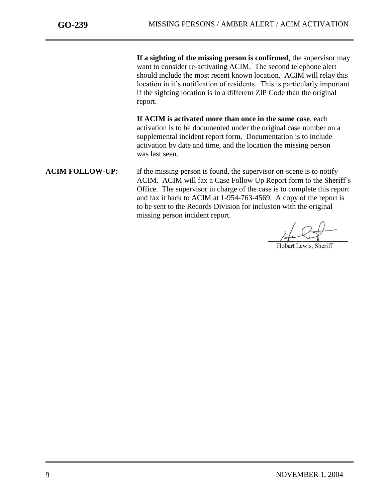**If a sighting of the missing person is confirmed**, the supervisor may want to consider re-activating ACIM. The second telephone alert should include the most recent known location. ACIM will relay this location in it's notification of residents. This is particularly important if the sighting location is in a different ZIP Code than the original report.

**If ACIM is activated more than once in the same case**, each activation is to be documented under the original case number on a supplemental incident report form. Documentation is to include activation by date and time, and the location the missing person was last seen.

**ACIM FOLLOW-UP:** If the missing person is found, the supervisor on-scene is to notify ACIM. ACIM will fax a Case Follow Up Report form to the Sheriff's Office. The supervisor in charge of the case is to complete this report and fax it back to ACIM at 1-954-763-4569. A copy of the report is to be sent to the Records Division for inclusion with the original missing person incident report.

Hobart Lewis, Sheriff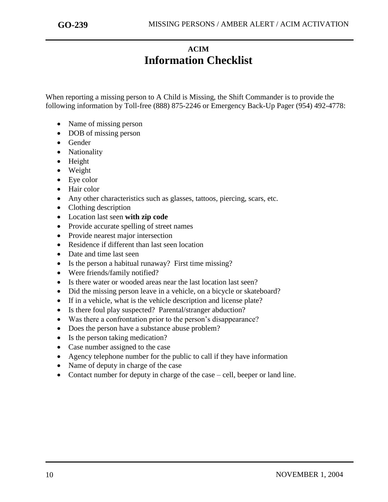### **ACIM Information Checklist**

When reporting a missing person to A Child is Missing, the Shift Commander is to provide the following information by Toll-free (888) 875-2246 or Emergency Back-Up Pager (954) 492-4778:

- Name of missing person
- DOB of missing person
- Gender
- Nationality
- Height
- Weight
- Eye color
- Hair color
- Any other characteristics such as glasses, tattoos, piercing, scars, etc.
- Clothing description
- Location last seen **with zip code**
- Provide accurate spelling of street names
- Provide nearest major intersection
- Residence if different than last seen location
- Date and time last seen
- Is the person a habitual runaway? First time missing?
- Were friends/family notified?
- Is there water or wooded areas near the last location last seen?
- Did the missing person leave in a vehicle, on a bicycle or skateboard?
- If in a vehicle, what is the vehicle description and license plate?
- Is there foul play suspected? Parental/stranger abduction?
- Was there a confrontation prior to the person's disappearance?
- Does the person have a substance abuse problem?
- Is the person taking medication?
- Case number assigned to the case
- Agency telephone number for the public to call if they have information
- Name of deputy in charge of the case
- Contact number for deputy in charge of the case cell, beeper or land line.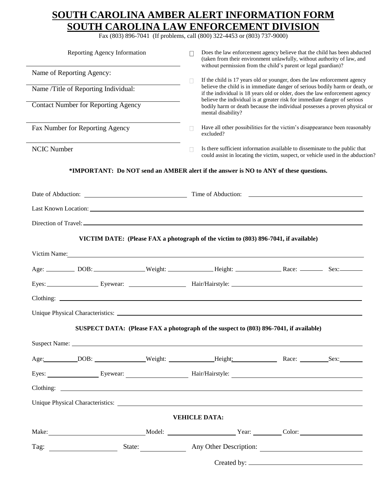### **SOUTH CAROLINA AMBER ALERT INFORMATION FORM SOUTH CAROLINA LAW ENFORCEMENT DIVISION**

Fax (803) 896-7041 (If problems, call (800) 322-4453 or (803) 737-9000)

| Reporting Agency Information                                                                                                                                                                                                                                                                                    |   | Does the law enforcement agency believe that the child has been abducted<br>(taken from their environment unlawfully, without authority of law, and                                                                                                                                                            |  |  |
|-----------------------------------------------------------------------------------------------------------------------------------------------------------------------------------------------------------------------------------------------------------------------------------------------------------------|---|----------------------------------------------------------------------------------------------------------------------------------------------------------------------------------------------------------------------------------------------------------------------------------------------------------------|--|--|
| Name of Reporting Agency:                                                                                                                                                                                                                                                                                       |   | without permission from the child's parent or legal guardian)?<br>If the child is 17 years old or younger, does the law enforcement agency<br>П<br>believe the child is in immediate danger of serious bodily harm or death, or<br>if the individual is 18 years old or older, does the law enforcement agency |  |  |
| Name /Title of Reporting Individual:                                                                                                                                                                                                                                                                            |   |                                                                                                                                                                                                                                                                                                                |  |  |
| <b>Contact Number for Reporting Agency</b>                                                                                                                                                                                                                                                                      |   | believe the individual is at greater risk for immediate danger of serious<br>bodily harm or death because the individual possesses a proven physical or<br>mental disability?                                                                                                                                  |  |  |
| Fax Number for Reporting Agency                                                                                                                                                                                                                                                                                 | П | Have all other possibilities for the victim's disappearance been reasonably<br>excluded?                                                                                                                                                                                                                       |  |  |
| <b>NCIC Number</b>                                                                                                                                                                                                                                                                                              |   | Is there sufficient information available to disseminate to the public that<br>could assist in locating the victim, suspect, or vehicle used in the abduction?                                                                                                                                                 |  |  |
| *IMPORTANT: Do NOT send an AMBER alert if the answer is NO to ANY of these questions.                                                                                                                                                                                                                           |   |                                                                                                                                                                                                                                                                                                                |  |  |
|                                                                                                                                                                                                                                                                                                                 |   |                                                                                                                                                                                                                                                                                                                |  |  |
|                                                                                                                                                                                                                                                                                                                 |   |                                                                                                                                                                                                                                                                                                                |  |  |
|                                                                                                                                                                                                                                                                                                                 |   |                                                                                                                                                                                                                                                                                                                |  |  |
|                                                                                                                                                                                                                                                                                                                 |   |                                                                                                                                                                                                                                                                                                                |  |  |
|                                                                                                                                                                                                                                                                                                                 |   | VICTIM DATE: (Please FAX a photograph of the victim to (803) 896-7041, if available)                                                                                                                                                                                                                           |  |  |
| Victim Name: New York Changes and Section 1988.                                                                                                                                                                                                                                                                 |   |                                                                                                                                                                                                                                                                                                                |  |  |
|                                                                                                                                                                                                                                                                                                                 |   |                                                                                                                                                                                                                                                                                                                |  |  |
|                                                                                                                                                                                                                                                                                                                 |   |                                                                                                                                                                                                                                                                                                                |  |  |
| $\frac{1}{2}$ Clothing: $\frac{1}{2}$ $\frac{1}{2}$ $\frac{1}{2}$ $\frac{1}{2}$ $\frac{1}{2}$ $\frac{1}{2}$ $\frac{1}{2}$ $\frac{1}{2}$ $\frac{1}{2}$ $\frac{1}{2}$ $\frac{1}{2}$ $\frac{1}{2}$ $\frac{1}{2}$ $\frac{1}{2}$ $\frac{1}{2}$ $\frac{1}{2}$ $\frac{1}{2}$ $\frac{1}{2}$ $\frac{1}{2}$ $\frac{1}{2}$ |   |                                                                                                                                                                                                                                                                                                                |  |  |
|                                                                                                                                                                                                                                                                                                                 |   |                                                                                                                                                                                                                                                                                                                |  |  |
|                                                                                                                                                                                                                                                                                                                 |   | SUSPECT DATA: (Please FAX a photograph of the suspect to (803) 896-7041, if available)                                                                                                                                                                                                                         |  |  |
|                                                                                                                                                                                                                                                                                                                 |   |                                                                                                                                                                                                                                                                                                                |  |  |
| Age: DOB: Weight: Height: Race: Sex: Next Sex: Next Sex: Next Sex: Next Sex: Next Sex: Next Sex: Next Sex: Next Sex: Next Sex: Next Sex: Next Sex: Next Sex: Next Sex: Next Sex: Next Sex: Next Sex: Next Sex: Next Sex: Next                                                                                   |   |                                                                                                                                                                                                                                                                                                                |  |  |
|                                                                                                                                                                                                                                                                                                                 |   |                                                                                                                                                                                                                                                                                                                |  |  |
|                                                                                                                                                                                                                                                                                                                 |   |                                                                                                                                                                                                                                                                                                                |  |  |
|                                                                                                                                                                                                                                                                                                                 |   |                                                                                                                                                                                                                                                                                                                |  |  |
|                                                                                                                                                                                                                                                                                                                 |   | <b>VEHICLE DATA:</b>                                                                                                                                                                                                                                                                                           |  |  |
|                                                                                                                                                                                                                                                                                                                 |   |                                                                                                                                                                                                                                                                                                                |  |  |
| Make: Model: Model: Nodel: Year: Color: Color: Nake: Color: New York 2014                                                                                                                                                                                                                                       |   |                                                                                                                                                                                                                                                                                                                |  |  |
|                                                                                                                                                                                                                                                                                                                 |   |                                                                                                                                                                                                                                                                                                                |  |  |
|                                                                                                                                                                                                                                                                                                                 |   |                                                                                                                                                                                                                                                                                                                |  |  |

Created by: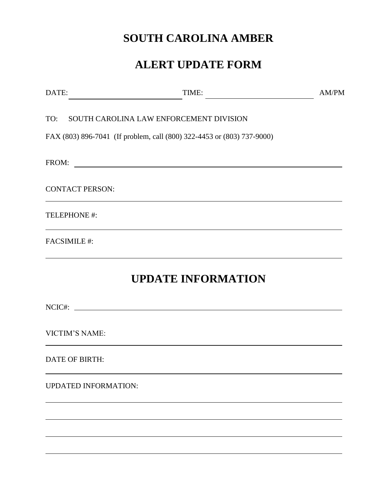# **SOUTH CAROLINA AMBER**

## **ALERT UPDATE FORM**

| DATE:<br><u> 1980 - Johann Barbara, martxa al</u> | TIME:                                                                                                                | AM/PM |
|---------------------------------------------------|----------------------------------------------------------------------------------------------------------------------|-------|
|                                                   | TO: SOUTH CAROLINA LAW ENFORCEMENT DIVISION                                                                          |       |
|                                                   | FAX (803) 896-7041 (If problem, call (800) 322-4453 or (803) 737-9000)                                               |       |
| FROM:                                             | <u> 1989 - Jan Samuel Barbara, martin da shekara tsara 1989 - Andrea Samuel Barbara, mashrida a shekara tsara 19</u> |       |
| <b>CONTACT PERSON:</b>                            |                                                                                                                      |       |
| TELEPHONE #:                                      |                                                                                                                      |       |
| <b>FACSIMILE#:</b>                                |                                                                                                                      |       |
|                                                   | <b>UPDATE INFORMATION</b>                                                                                            |       |
|                                                   | NCIC#:                                                                                                               |       |
| <b>VICTIM'S NAME:</b>                             |                                                                                                                      |       |
| <b>DATE OF BIRTH:</b>                             |                                                                                                                      |       |
| <b>UPDATED INFORMATION:</b>                       |                                                                                                                      |       |
|                                                   |                                                                                                                      |       |
|                                                   |                                                                                                                      |       |
|                                                   |                                                                                                                      |       |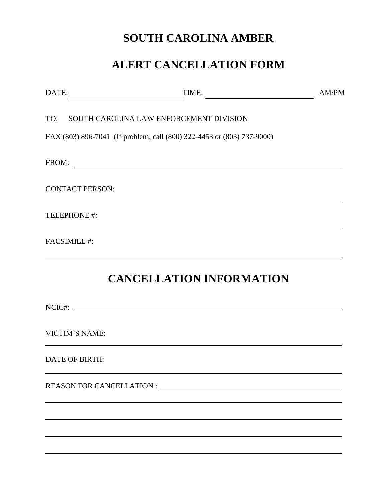## **SOUTH CAROLINA AMBER**

## **ALERT CANCELLATION FORM**

| DATE:                  | TIME:                                                                      | AM/PM |
|------------------------|----------------------------------------------------------------------------|-------|
|                        | TO: SOUTH CAROLINA LAW ENFORCEMENT DIVISION                                |       |
|                        | FAX (803) 896-7041 (If problem, call (800) 322-4453 or (803) 737-9000)     |       |
|                        |                                                                            |       |
| <b>CONTACT PERSON:</b> | the control of the control of the control of the control of the control of |       |
| TELEPHONE #:           |                                                                            |       |
| <b>FACSIMILE#:</b>     |                                                                            |       |
|                        | <b>CANCELLATION INFORMATION</b>                                            |       |
|                        |                                                                            |       |
| <b>VICTIM'S NAME:</b>  |                                                                            |       |
| <b>DATE OF BIRTH:</b>  |                                                                            |       |
|                        |                                                                            |       |
|                        |                                                                            |       |
|                        |                                                                            |       |
|                        |                                                                            |       |